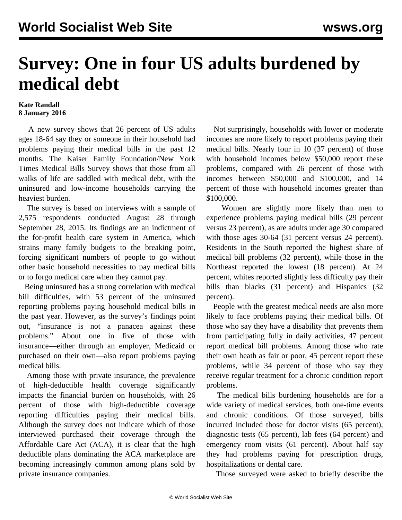## **Survey: One in four US adults burdened by medical debt**

## **Kate Randall 8 January 2016**

 A new survey shows that 26 percent of US adults ages 18-64 say they or someone in their household had problems paying their medical bills in the past 12 months. The Kaiser Family Foundation/New York Times Medical Bills Survey shows that those from all walks of life are saddled with medical debt, with the uninsured and low-income households carrying the heaviest burden.

 The [survey](http://kff.org/health-costs/report/the-burden-of-medical-debt-results-from-the-kaiser-family-foundationnew-york-times-medical-bills-survey/) is based on interviews with a sample of 2,575 respondents conducted August 28 through September 28, 2015. Its findings are an indictment of the for-profit health care system in America, which strains many family budgets to the breaking point, forcing significant numbers of people to go without other basic household necessities to pay medical bills or to forgo medical care when they cannot pay.

 Being uninsured has a strong correlation with medical bill difficulties, with 53 percent of the uninsured reporting problems paying household medical bills in the past year. However, as the survey's findings point out, "insurance is not a panacea against these problems." About one in five of those with insurance—either through an employer, Medicaid or purchased on their own—also report problems paying medical bills.

 Among those with private insurance, the prevalence of high-deductible health coverage significantly impacts the financial burden on households, with 26 percent of those with high-deductible coverage reporting difficulties paying their medical bills. Although the survey does not indicate which of those interviewed purchased their coverage through the Affordable Care Act (ACA), it is clear that the high deductible plans dominating the ACA marketplace are becoming increasingly common among plans sold by private insurance companies.

 Not surprisingly, households with lower or moderate incomes are more likely to report problems paying their medical bills. Nearly four in 10 (37 percent) of those with household incomes below \$50,000 report these problems, compared with 26 percent of those with incomes between \$50,000 and \$100,000, and 14 percent of those with household incomes greater than \$100,000.

 Women are slightly more likely than men to experience problems paying medical bills (29 percent versus 23 percent), as are adults under age 30 compared with those ages 30-64 (31 percent versus 24 percent). Residents in the South reported the highest share of medical bill problems (32 percent), while those in the Northeast reported the lowest (18 percent). At 24 percent, whites reported slightly less difficulty pay their bills than blacks (31 percent) and Hispanics (32 percent).

 People with the greatest medical needs are also more likely to face problems paying their medical bills. Of those who say they have a disability that prevents them from participating fully in daily activities, 47 percent report medical bill problems. Among those who rate their own heath as fair or poor, 45 percent report these problems, while 34 percent of those who say they receive regular treatment for a chronic condition report problems.

 The medical bills burdening households are for a wide variety of medical services, both one-time events and chronic conditions. Of those surveyed, bills incurred included those for doctor visits (65 percent), diagnostic tests (65 percent), lab fees (64 percent) and emergency room visits (61 percent). About half say they had problems paying for prescription drugs, hospitalizations or dental care.

Those surveyed were asked to briefly describe the